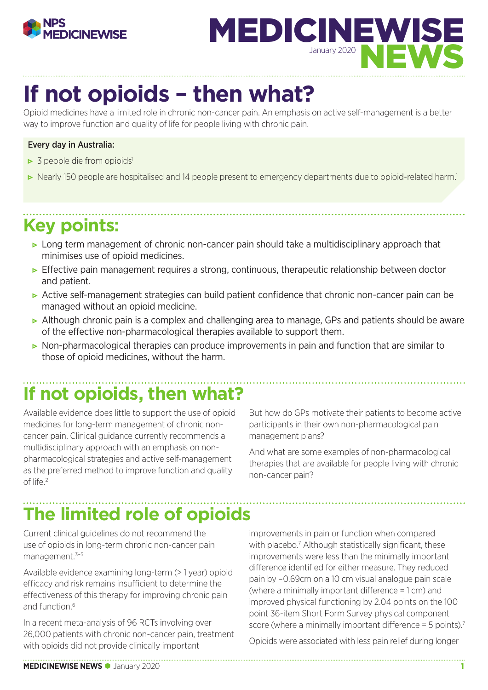



# **If not opioids – then what?**

Opioid medicines have a limited role in chronic non-cancer pain. An emphasis on active self-management is a better way to improve function and quality of life for people living with chronic pain.

#### Every day in Australia:

- $\triangleright$  3 people die from opioids<sup>1</sup>
- Nearly 150 people are hospitalised and 14 people present to emergency departments due to opioid-related harm.<sup>1</sup>

### **Key points:**

- Long term management of chronic non-cancer pain should take a multidisciplinary approach that minimises use of opioid medicines.
- **•** Effective pain management requires a strong, continuous, therapeutic relationship between doctor and patient.
- Active self-management strategies can build patient confidence that chronic non-cancer pain can be managed without an opioid medicine.
- ► Although chronic pain is a complex and challenging area to manage, GPs and patients should be aware of the effective non-pharmacological therapies available to support them.
- Non-pharmacological therapies can produce improvements in pain and function that are similar to those of opioid medicines, without the harm.

### **If not opioids, then what?**

Available evidence does little to support the use of opioid medicines for long-term management of chronic noncancer pain. Clinical guidance currently recommends a multidisciplinary approach with an emphasis on nonpharmacological strategies and active self-management as the preferred method to improve function and quality of life $2$ 

But how do GPs motivate their patients to become active participants in their own non-pharmacological pain management plans?

And what are some examples of non-pharmacological therapies that are available for people living with chronic non-cancer pain?

### **The limited role of opioids**

Current clinical guidelines do not recommend the use of opioids in long-term chronic non-cancer pain management.<sup>3-5</sup>

Available evidence examining long-term (> 1 year) opioid efficacy and risk remains insufficient to determine the effectiveness of this therapy for improving chronic pain and function.<sup>6</sup>

In a recent meta-analysis of 96 RCTs involving over 26,000 patients with chronic non-cancer pain, treatment with opioids did not provide clinically important

improvements in pain or function when compared with placebo.<sup>7</sup> Although statistically significant, these improvements were less than the minimally important difference identified for either measure. They reduced pain by –0.69cm on a 10 cm visual analogue pain scale (where a minimally important difference = 1 cm) and improved physical functioning by 2.04 points on the 100 point 36-item Short Form Survey physical component score (where a minimally important difference  $=$  5 points).<sup>7</sup>

Opioids were associated with less pain relief during longer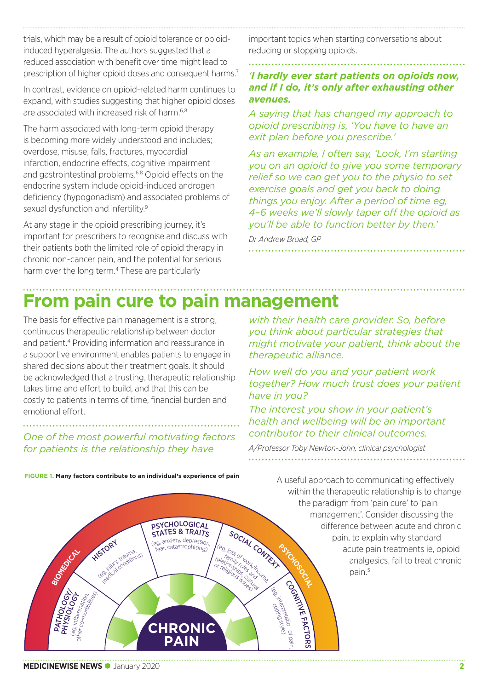trials, which may be a result of opioid tolerance or opioidinduced hyperalgesia. The authors suggested that a reduced association with benefit over time might lead to prescription of higher opioid doses and consequent harms.7

In contrast, evidence on opioid-related harm continues to expand, with studies suggesting that higher opioid doses are associated with increased risk of harm.<sup>6,8</sup>

The harm associated with long-term opioid therapy is becoming more widely understood and includes; overdose, misuse, falls, fractures, myocardial infarction, endocrine effects, cognitive impairment and gastrointestinal problems.<sup>6,8</sup> Opioid effects on the endocrine system include opioid-induced androgen deficiency (hypogonadism) and associated problems of sexual dysfunction and infertility.<sup>9</sup>

At any stage in the opioid prescribing journey, it's important for prescribers to recognise and discuss with their patients both the limited role of opioid therapy in chronic non-cancer pain, and the potential for serious harm over the long term.<sup>4</sup> These are particularly

important topics when starting conversations about reducing or stopping opioids.

#### *'I hardly ever start patients on opioids now, and if I do, it's only after exhausting other avenues.*

*A saying that has changed my approach to opioid prescribing is, 'You have to have an exit plan before you prescribe.'*

*As an example, I often say, 'Look, I'm starting you on an opioid to give you some temporary relief so we can get you to the physio to set exercise goals and get you back to doing things you enjoy. After a period of time eg, 4–6 weeks we'll slowly taper off the opioid as you'll be able to function better by then.'* 

*with their health care provider. So, before you think about particular strategies that might motivate your patient, think about the* 

*How well do you and your patient work* 

*The interest you show in your patient's* 

*together? How much trust does your patient* 

*Dr Andrew Broad, GP* 

*therapeutic alliance.* 

COGNITIVE

pain,

<sup>e</sup>)

coping o ikkerpretatio

FACTORS

### **From pain cure to pain management**

**PSYCHOLOGICAL** 

STATES & TRAITS

sincety, depression,<br>(eg, anxiety, depression,<br>fear, catastrophising)

**CHRONIC PAIN**

The basis for effective pain management is a strong, continuous therapeutic relationship between doctor and patient.4 Providing information and reassurance in a supportive environment enables patients to engage in shared decisions about their treatment goals. It should be acknowledged that a trusting, therapeutic relationship takes time and effort to build, and that this can be costly to patients in terms of time, financial burden and emotional effort.

### *One of the most powerful motivating factors for patients is the relationship they have*

*health and wellbeing will be an important contributor to their clinical outcomes.*

SOCIAL CONTEXT

relations of work,

*have in you?*

*A/Professor Toby Newton-John, clinical psychologist*

A useful approach to communicating effectively within the therapeutic relationship is to change the paradigm from 'pain cure' to 'pain management'. Consider discussing the difference between acute and chronic pain, to explain why standard acute pain treatments ie, opioid analgesics, fail to treat chronic pain.<sup>5</sup> **PSYCHOSOCIAL** (eg, anxiety, depression, (eg, loss of work/interpretation)<br>
(eg, loss of work/income, and interpretation)<br>
(eg, loss of work, the complete of work, the complete of work, the complete of work, the complete of work of work

**FIGURE 1. Many factors contribute to an individual's experience of pain**

aurius<br>aditions)

**HISTORY** 

 $\frac{670}{26}$ 

**PATHOLOGY**<br>PHYSIOLOGY<br>SATISME

eg, inflam,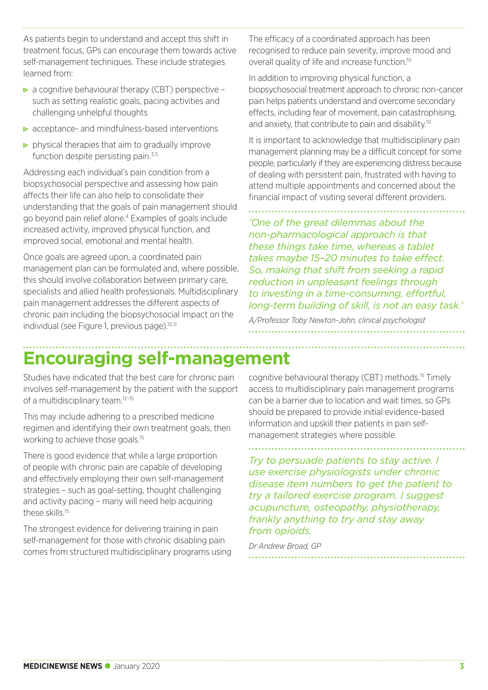As patients begin to understand and accept this shift in treatment focus, GPs can encourage them towards active self-management techniques. These include strategies learned from:

- $\triangleright$  a cognitive behavioural therapy (CBT) perspective such as setting realistic goals, pacing activities and challenging unhelpful thoughts
- $\triangleright$  acceptance- and mindfulness-based interventions
- $\triangleright$  physical therapies that aim to gradually improve function despite persisting pain.<sup>3,5</sup>

Addressing each individual's pain condition from a biopsychosocial perspective and assessing how pain affects their life can also help to consolidate their understanding that the goals of pain management should go beyond pain relief alone.4 Examples of goals include increased activity, improved physical function, and improved social, emotional and mental health.

Once goals are agreed upon, a coordinated pain management plan can be formulated and, where possible, this should involve collaboration between primary care, specialists and allied health professionals. Multidisciplinary pain management addresses the different aspects of chronic pain including the biopsychosocial impact on the individual (see Figure 1, previous page).10,11

The efficacy of a coordinated approach has been recognised to reduce pain severity, improve mood and overall quality of life and increase function.10

In addition to improving physical function, a biopsychosocial treatment approach to chronic non-cancer pain helps patients understand and overcome secondary effects, including fear of movement, pain catastrophising, and anxiety, that contribute to pain and disability.<sup>10</sup>

It is important to acknowledge that multidisciplinary pain management planning may be a difficult concept for some people, particularly if they are experiencing distress because of dealing with persistent pain, frustrated with having to attend multiple appointments and concerned about the financial impact of visiting several different providers.

*'One of the great dilemmas about the non-pharmacological approach is that these things take time, whereas a tablet takes maybe 15–20 minutes to take effect. So, making that shift from seeking a rapid reduction in unpleasant feelings through to investing in a time-consuming, effortful, long-term building of skill, is not an easy task.'*

*A/Professor Toby Newton-John, clinical psychologist*

### **Encouraging self-management**

Studies have indicated that the best care for chronic pain involves self-management by the patient with the support of a multidisciplinary team.<sup>12-15</sup>

This may include adhering to a prescribed medicine regimen and identifying their own treatment goals, then working to achieve those goals.<sup>15</sup>

There is good evidence that while a large proportion of people with chronic pain are capable of developing and effectively employing their own self-management strategies – such as goal-setting, thought challenging and activity pacing – many will need help acquiring these skills.<sup>15</sup>

The strongest evidence for delivering training in pain self-management for those with chronic disabling pain comes from structured multidisciplinary programs using cognitive behavioural therapy (CBT) methods.15 Timely access to multidisciplinary pain management programs can be a barrier due to location and wait times, so GPs should be prepared to provide initial evidence-based information and upskill their patients in pain selfmanagement strategies where possible.

*Try to persuade patients to stay active. I use exercise physiologists under chronic disease item numbers to get the patient to try a tailored exercise program. I suggest acupuncture, osteopathy, physiotherapy, frankly anything to try and stay away from opioids.* 

*Dr Andrew Broad, GP*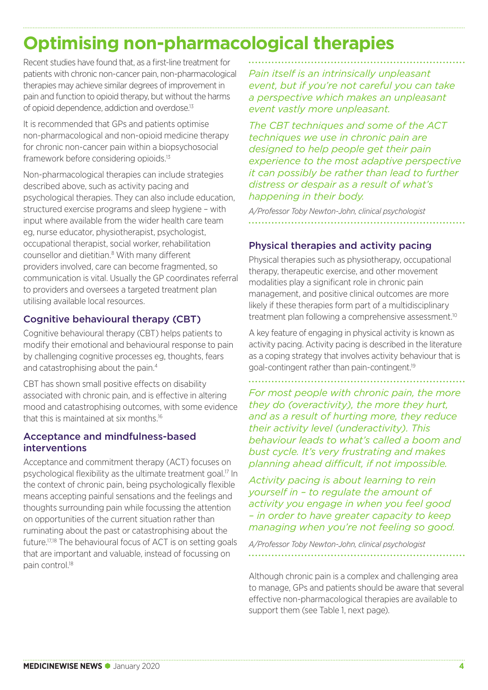### **Optimising non-pharmacological therapies**

Recent studies have found that, as a first-line treatment for patients with chronic non-cancer pain, non-pharmacological therapies may achieve similar degrees of improvement in pain and function to opioid therapy, but without the harms of opioid dependence, addiction and overdose.13

It is recommended that GPs and patients optimise non-pharmacological and non-opioid medicine therapy for chronic non-cancer pain within a biopsychosocial framework before considering opioids.13

Non-pharmacological therapies can include strategies described above, such as activity pacing and psychological therapies. They can also include education, structured exercise programs and sleep hygiene – with input where available from the wider health care team eg, nurse educator, physiotherapist, psychologist, occupational therapist, social worker, rehabilitation counsellor and dietitian.<sup>8</sup> With many different providers involved, care can become fragmented, so communication is vital. Usually the GP coordinates referral to providers and oversees a targeted treatment plan utilising available local resources.

#### Cognitive behavioural therapy (CBT)

Cognitive behavioural therapy (CBT) helps patients to modify their emotional and behavioural response to pain by challenging cognitive processes eg, thoughts, fears and catastrophising about the pain.4

CBT has shown small positive effects on disability associated with chronic pain, and is effective in altering mood and catastrophising outcomes, with some evidence that this is maintained at six months.16

#### Acceptance and mindfulness-based interventions

Acceptance and commitment therapy (ACT) focuses on psychological flexibility as the ultimate treatment goal.17 In the context of chronic pain, being psychologically flexible means accepting painful sensations and the feelings and thoughts surrounding pain while focussing the attention on opportunities of the current situation rather than ruminating about the past or catastrophising about the future.17,18 The behavioural focus of ACT is on setting goals that are important and valuable, instead of focussing on pain control.<sup>18</sup>

*Pain itself is an intrinsically unpleasant event, but if you're not careful you can take a perspective which makes an unpleasant event vastly more unpleasant.* 

*The CBT techniques and some of the ACT techniques we use in chronic pain are designed to help people get their pain experience to the most adaptive perspective it can possibly be rather than lead to further distress or despair as a result of what's happening in their body.*

*A/Professor Toby Newton-John, clinical psychologist*

#### Physical therapies and activity pacing

Physical therapies such as physiotherapy, occupational therapy, therapeutic exercise, and other movement modalities play a significant role in chronic pain management, and positive clinical outcomes are more likely if these therapies form part of a multidisciplinary treatment plan following a comprehensive assessment.<sup>10</sup>

A key feature of engaging in physical activity is known as activity pacing. Activity pacing is described in the literature as a coping strategy that involves activity behaviour that is goal-contingent rather than pain-contingent.19

*For most people with chronic pain, the more they do (overactivity), the more they hurt, and as a result of hurting more, they reduce their activity level (underactivity). This behaviour leads to what's called a boom and bust cycle. It's very frustrating and makes planning ahead difficult, if not impossible.* 

*Activity pacing is about learning to rein yourself in – to regulate the amount of activity you engage in when you feel good – in order to have greater capacity to keep managing when you're not feeling so good.*

*A/Professor Toby Newton-John, clinical psychologist* 

Although chronic pain is a complex and challenging area to manage, GPs and patients should be aware that several effective non-pharmacological therapies are available to support them (see Table 1, next page).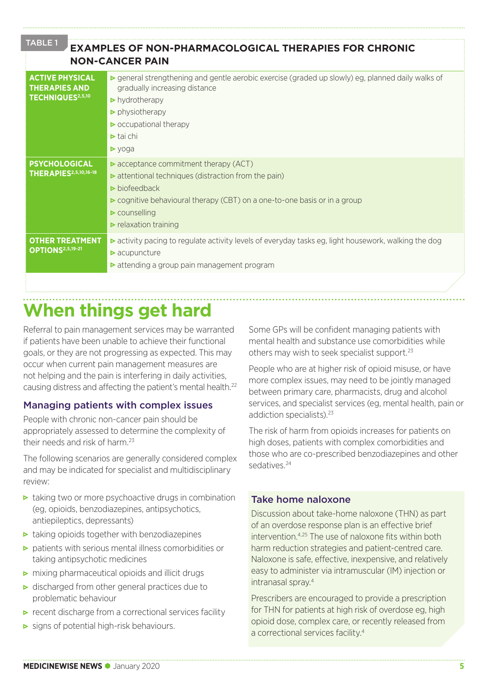**EXAMPLES OF NON-PHARMACOLOGICAL THERAPIES FOR CHRONIC NON-CANCER PAIN ACTIVE PHYSICAL THERAPIES AND TECHNIQUES2,5,10** • general strengthening and gentle aerobic exercise (graded up slowly) eg, planned daily walks of gradually increasing distance • hydrotherapy  $\blacktriangleright$  physiotherapy  $\triangleright$  occupational therapy  $\triangleright$  tai chi  $\rho$  yoga **PSYCHOLOGICAL THERAPIES2,5,10,16-18**  $\triangleright$  acceptance commitment therapy (ACT)  $\triangleright$  attentional techniques (distraction from the pain)  $\blacktriangleright$  biofeedback • cognitive behavioural therapy (CBT) on a one-to-one basis or in a group  $\triangleright$  counselling  $\blacktriangleright$  relaxation training **OTHER TREATMENT OPTIONS2,5,19-21** • activity pacing to regulate activity levels of everyday tasks eg, light housework, walking the dog  $\triangleright$  acupuncture • attending a group pain management program TABLE 1

### **When things get hard**

Referral to pain management services may be warranted if patients have been unable to achieve their functional goals, or they are not progressing as expected. This may occur when current pain management measures are not helping and the pain is interfering in daily activities, causing distress and affecting the patient's mental health.22

#### Managing patients with complex issues

People with chronic non-cancer pain should be appropriately assessed to determine the complexity of their needs and risk of harm<sup>23</sup>

The following scenarios are generally considered complex and may be indicated for specialist and multidisciplinary review:

- $\triangleright$  taking two or more psychoactive drugs in combination (eg, opioids, benzodiazepines, antipsychotics, antiepileptics, depressants)
- $\triangleright$  taking opioids together with benzodiazepines
- patients with serious mental illness comorbidities or taking antipsychotic medicines
- $\triangleright$  mixing pharmaceutical opioids and illicit drugs
- $\triangleright$  discharged from other general practices due to problematic behaviour
- $\triangleright$  recent discharge from a correctional services facility
- $\triangleright$  signs of potential high-risk behaviours.

Some GPs will be confident managing patients with mental health and substance use comorbidities while others may wish to seek specialist support.<sup>23</sup>

People who are at higher risk of opioid misuse, or have more complex issues, may need to be jointly managed between primary care, pharmacists, drug and alcohol services, and specialist services (eg, mental health, pain or addiction specialists).<sup>23</sup>

The risk of harm from opioids increases for patients on high doses, patients with complex comorbidities and those who are co-prescribed benzodiazepines and other sedatives.24

#### Take home naloxone

Discussion about take-home naloxone (THN) as part of an overdose response plan is an effective brief intervention.4,25 The use of naloxone fits within both harm reduction strategies and patient-centred care. Naloxone is safe, effective, inexpensive, and relatively easy to administer via intramuscular (IM) injection or intranasal spray.4

Prescribers are encouraged to provide a prescription for THN for patients at high risk of overdose eg, high opioid dose, complex care, or recently released from a correctional services facility.4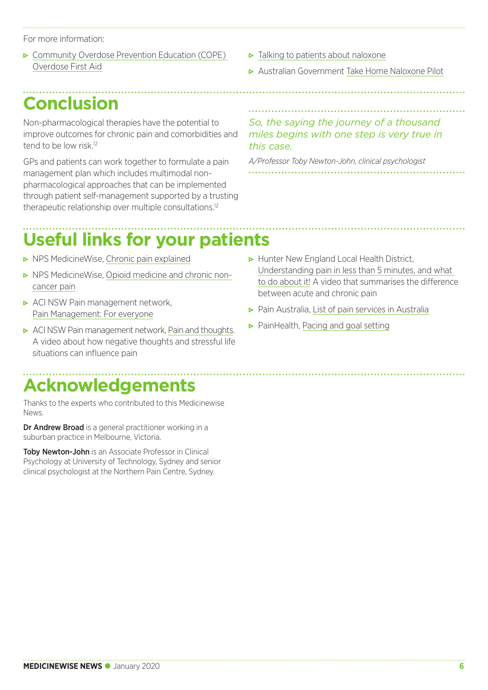For more information:

- Community Overdose Prevention Education (COPE) [Overdose First Aid](http://www.penington.org.au/programs-and-campaigns/resources/cope-overdose-first-aid/)
- **Conclusion**

Non-pharmacological therapies have the potential to improve outcomes for chronic pain and comorbidities and tend to be low risk<sup>12</sup>

GPs and patients can work together to formulate a pain management plan which includes multimodal nonpharmacological approaches that can be implemented through patient self-management supported by a trusting therapeutic relationship over multiple consultations.12

#### • [Talking to patients about naloxone](http://www.penington.org.au/wp-content/uploads/2019/08/TalkingToPatientsAboutNaloxone.pdf)

• Australian Government [Take Home Naloxone Pilot](https://www.health.gov.au/initiatives-and-programs/take-home-naloxone-pilot/about-the-take-home-naloxone-pilot)

*So, the saying the journey of a thousand miles begins with one step is very true in this case.* 

*A/Professor Toby Newton-John, clinical psychologist*

## **Useful links for your patients**

- **NPS MedicineWise, [Chronic pain explained](https://www.nps.org.au/consumers/chronic-pain-explained#what-is-chronic-pain?)**
- NPS Medicine Wise, [Opioid medicine and chronic non](https://www.nps.org.au/consumers/opioid-medicines)[cancer pain](https://www.nps.org.au/consumers/opioid-medicines)
- ACI NSW Pain management network, [Pain Management: For everyone](https://www.aci.health.nsw.gov.au/chronic-pain/for-everyone)
- **ACI NSW Pain management network, [Pain and thoughts](https://www.aci.health.nsw.gov.au/chronic-pain/for-everyone/pain-and-thoughts).** A video about how negative thoughts and stressful life situations can influence pain

## **Acknowledgements**

Thanks to the experts who contributed to this Medicinewise News.

Dr Andrew Broad is a general practitioner working in a suburban practice in Melbourne, Victoria.

Toby Newton-John is an Associate Professor in Clinical Psychology at University of Technology, Sydney and senior clinical psychologist at the Northern Pain Centre, Sydney.

- ▶ Hunter New England Local Health District, [Understanding pain in less than 5 minutes, and what](https://www.youtube.com/watch?v=C_3phB93rvI)  [to do about it!](https://www.youtube.com/watch?v=C_3phB93rvI) A video that summarises the difference between acute and chronic pain
- Pain Australia, [List of pain services in Australia](https://www.painaustralia.org.au/getting-help/pain-services)
- PainHealth, [Pacing and goal setting](https://painhealth.csse.uwa.edu.au/pain-module/pacing-and-goal-setting/)